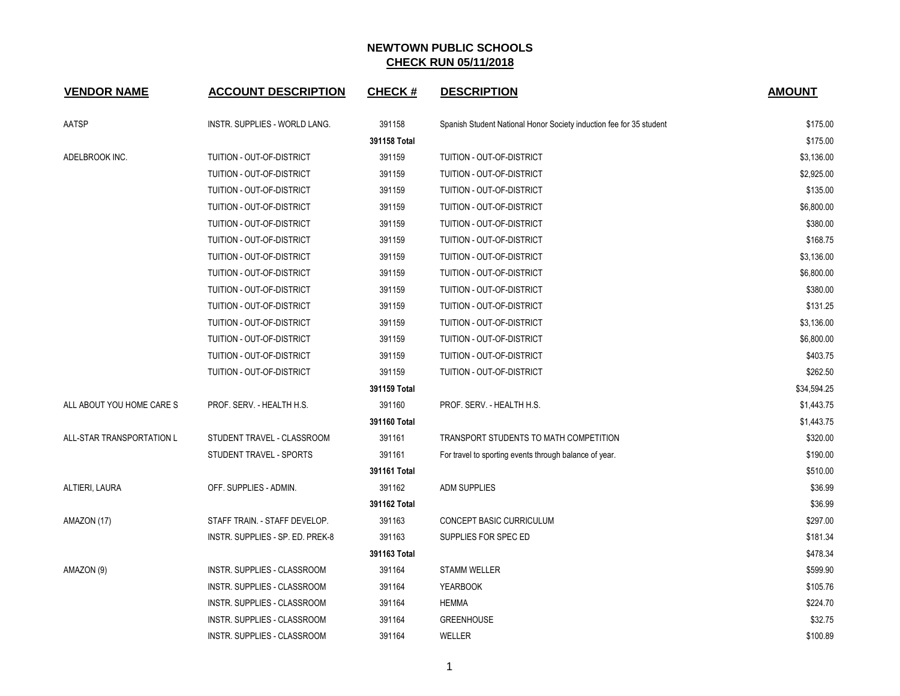| <b>VENDOR NAME</b>        | <b>ACCOUNT DESCRIPTION</b>       | <b>CHECK#</b> | <b>DESCRIPTION</b>                                                  | <b>AMOUNT</b> |
|---------------------------|----------------------------------|---------------|---------------------------------------------------------------------|---------------|
| AATSP                     | INSTR. SUPPLIES - WORLD LANG.    | 391158        | Spanish Student National Honor Society induction fee for 35 student | \$175.00      |
|                           |                                  | 391158 Total  |                                                                     | \$175.00      |
| ADELBROOK INC.            | TUITION - OUT-OF-DISTRICT        | 391159        | TUITION - OUT-OF-DISTRICT                                           | \$3,136.00    |
|                           | TUITION - OUT-OF-DISTRICT        | 391159        | TUITION - OUT-OF-DISTRICT                                           | \$2,925.00    |
|                           | TUITION - OUT-OF-DISTRICT        | 391159        | <b>TUITION - OUT-OF-DISTRICT</b>                                    | \$135.00      |
|                           | TUITION - OUT-OF-DISTRICT        | 391159        | TUITION - OUT-OF-DISTRICT                                           | \$6,800.00    |
|                           | TUITION - OUT-OF-DISTRICT        | 391159        | TUITION - OUT-OF-DISTRICT                                           | \$380.00      |
|                           | TUITION - OUT-OF-DISTRICT        | 391159        | TUITION - OUT-OF-DISTRICT                                           | \$168.75      |
|                           | TUITION - OUT-OF-DISTRICT        | 391159        | TUITION - OUT-OF-DISTRICT                                           | \$3,136.00    |
|                           | TUITION - OUT-OF-DISTRICT        | 391159        | TUITION - OUT-OF-DISTRICT                                           | \$6,800.00    |
|                           | TUITION - OUT-OF-DISTRICT        | 391159        | TUITION - OUT-OF-DISTRICT                                           | \$380.00      |
|                           | TUITION - OUT-OF-DISTRICT        | 391159        | TUITION - OUT-OF-DISTRICT                                           | \$131.25      |
|                           | TUITION - OUT-OF-DISTRICT        | 391159        | TUITION - OUT-OF-DISTRICT                                           | \$3,136.00    |
|                           | TUITION - OUT-OF-DISTRICT        | 391159        | TUITION - OUT-OF-DISTRICT                                           | \$6,800.00    |
|                           | TUITION - OUT-OF-DISTRICT        | 391159        | TUITION - OUT-OF-DISTRICT                                           | \$403.75      |
|                           | TUITION - OUT-OF-DISTRICT        | 391159        | TUITION - OUT-OF-DISTRICT                                           | \$262.50      |
|                           |                                  | 391159 Total  |                                                                     | \$34,594.25   |
| ALL ABOUT YOU HOME CARE S | PROF. SERV. - HEALTH H.S.        | 391160        | PROF. SERV. - HEALTH H.S.                                           | \$1,443.75    |
|                           |                                  | 391160 Total  |                                                                     | \$1,443.75    |
| ALL-STAR TRANSPORTATION L | STUDENT TRAVEL - CLASSROOM       | 391161        | TRANSPORT STUDENTS TO MATH COMPETITION                              | \$320.00      |
|                           | STUDENT TRAVEL - SPORTS          | 391161        | For travel to sporting events through balance of year.              | \$190.00      |
|                           |                                  | 391161 Total  |                                                                     | \$510.00      |
| ALTIERI, LAURA            | OFF. SUPPLIES - ADMIN.           | 391162        | <b>ADM SUPPLIES</b>                                                 | \$36.99       |
|                           |                                  | 391162 Total  |                                                                     | \$36.99       |
| AMAZON (17)               | STAFF TRAIN. - STAFF DEVELOP.    | 391163        | CONCEPT BASIC CURRICULUM                                            | \$297.00      |
|                           | INSTR. SUPPLIES - SP. ED. PREK-8 | 391163        | SUPPLIES FOR SPEC ED                                                | \$181.34      |
|                           |                                  | 391163 Total  |                                                                     | \$478.34      |
| AMAZON (9)                | INSTR. SUPPLIES - CLASSROOM      | 391164        | <b>STAMM WELLER</b>                                                 | \$599.90      |
|                           | INSTR. SUPPLIES - CLASSROOM      | 391164        | <b>YEARBOOK</b>                                                     | \$105.76      |
|                           | INSTR. SUPPLIES - CLASSROOM      | 391164        | <b>HEMMA</b>                                                        | \$224.70      |
|                           | INSTR. SUPPLIES - CLASSROOM      | 391164        | <b>GREENHOUSE</b>                                                   | \$32.75       |
|                           | INSTR. SUPPLIES - CLASSROOM      | 391164        | WELLER                                                              | \$100.89      |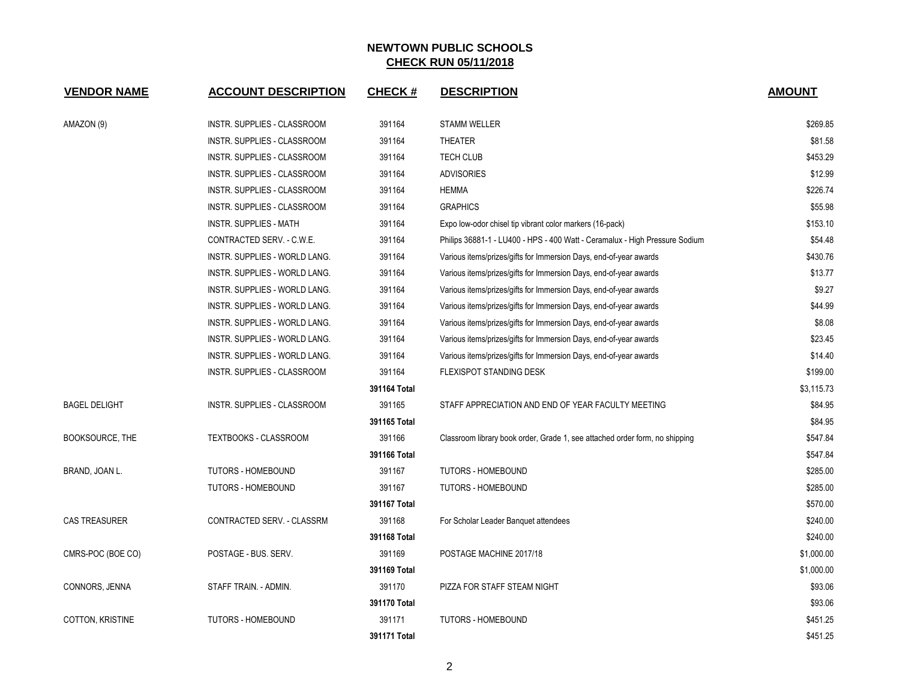| <b>VENDOR NAME</b>     | <b>ACCOUNT DESCRIPTION</b>    | <b>CHECK#</b> | <b>DESCRIPTION</b>                                                          | <b>AMOUNT</b> |
|------------------------|-------------------------------|---------------|-----------------------------------------------------------------------------|---------------|
| AMAZON (9)             | INSTR. SUPPLIES - CLASSROOM   | 391164        | <b>STAMM WELLER</b>                                                         | \$269.85      |
|                        | INSTR. SUPPLIES - CLASSROOM   | 391164        | <b>THEATER</b>                                                              | \$81.58       |
|                        | INSTR. SUPPLIES - CLASSROOM   | 391164        | <b>TECH CLUB</b>                                                            | \$453.29      |
|                        | INSTR. SUPPLIES - CLASSROOM   | 391164        | <b>ADVISORIES</b>                                                           | \$12.99       |
|                        | INSTR. SUPPLIES - CLASSROOM   | 391164        | <b>HEMMA</b>                                                                | \$226.74      |
|                        | INSTR. SUPPLIES - CLASSROOM   | 391164        | <b>GRAPHICS</b>                                                             | \$55.98       |
|                        | <b>INSTR. SUPPLIES - MATH</b> | 391164        | Expo low-odor chisel tip vibrant color markers (16-pack)                    | \$153.10      |
|                        | CONTRACTED SERV. - C.W.E.     | 391164        | Philips 36881-1 - LU400 - HPS - 400 Watt - Ceramalux - High Pressure Sodium | \$54.48       |
|                        | INSTR. SUPPLIES - WORLD LANG. | 391164        | Various items/prizes/gifts for Immersion Days, end-of-year awards           | \$430.76      |
|                        | INSTR. SUPPLIES - WORLD LANG. | 391164        | Various items/prizes/gifts for Immersion Days, end-of-year awards           | \$13.77       |
|                        | INSTR. SUPPLIES - WORLD LANG. | 391164        | Various items/prizes/gifts for Immersion Days, end-of-year awards           | \$9.27        |
|                        | INSTR. SUPPLIES - WORLD LANG. | 391164        | Various items/prizes/gifts for Immersion Days, end-of-year awards           | \$44.99       |
|                        | INSTR. SUPPLIES - WORLD LANG. | 391164        | Various items/prizes/gifts for Immersion Days, end-of-year awards           | \$8.08        |
|                        | INSTR. SUPPLIES - WORLD LANG. | 391164        | Various items/prizes/gifts for Immersion Days, end-of-year awards           | \$23.45       |
|                        | INSTR. SUPPLIES - WORLD LANG. | 391164        | Various items/prizes/gifts for Immersion Days, end-of-year awards           | \$14.40       |
|                        | INSTR. SUPPLIES - CLASSROOM   | 391164        | <b>FLEXISPOT STANDING DESK</b>                                              | \$199.00      |
|                        |                               | 391164 Total  |                                                                             | \$3,115.73    |
| <b>BAGEL DELIGHT</b>   | INSTR. SUPPLIES - CLASSROOM   | 391165        | STAFF APPRECIATION AND END OF YEAR FACULTY MEETING                          | \$84.95       |
|                        |                               | 391165 Total  |                                                                             | \$84.95       |
| <b>BOOKSOURCE, THE</b> | <b>TEXTBOOKS - CLASSROOM</b>  | 391166        | Classroom library book order, Grade 1, see attached order form, no shipping | \$547.84      |
|                        |                               | 391166 Total  |                                                                             | \$547.84      |
| BRAND, JOAN L.         | TUTORS - HOMEBOUND            | 391167        | <b>TUTORS - HOMEBOUND</b>                                                   | \$285.00      |
|                        | <b>TUTORS - HOMEBOUND</b>     | 391167        | <b>TUTORS - HOMEBOUND</b>                                                   | \$285.00      |
|                        |                               | 391167 Total  |                                                                             | \$570.00      |
| <b>CAS TREASURER</b>   | CONTRACTED SERV. - CLASSRM    | 391168        | For Scholar Leader Banquet attendees                                        | \$240.00      |
|                        |                               | 391168 Total  |                                                                             | \$240.00      |
| CMRS-POC (BOE CO)      | POSTAGE - BUS. SERV.          | 391169        | POSTAGE MACHINE 2017/18                                                     | \$1,000.00    |
|                        |                               | 391169 Total  |                                                                             | \$1,000.00    |
| CONNORS, JENNA         | STAFF TRAIN. - ADMIN.         | 391170        | PIZZA FOR STAFF STEAM NIGHT                                                 | \$93.06       |
|                        |                               | 391170 Total  |                                                                             | \$93.06       |
| COTTON, KRISTINE       | <b>TUTORS - HOMEBOUND</b>     | 391171        | <b>TUTORS - HOMEBOUND</b>                                                   | \$451.25      |
|                        |                               | 391171 Total  |                                                                             | \$451.25      |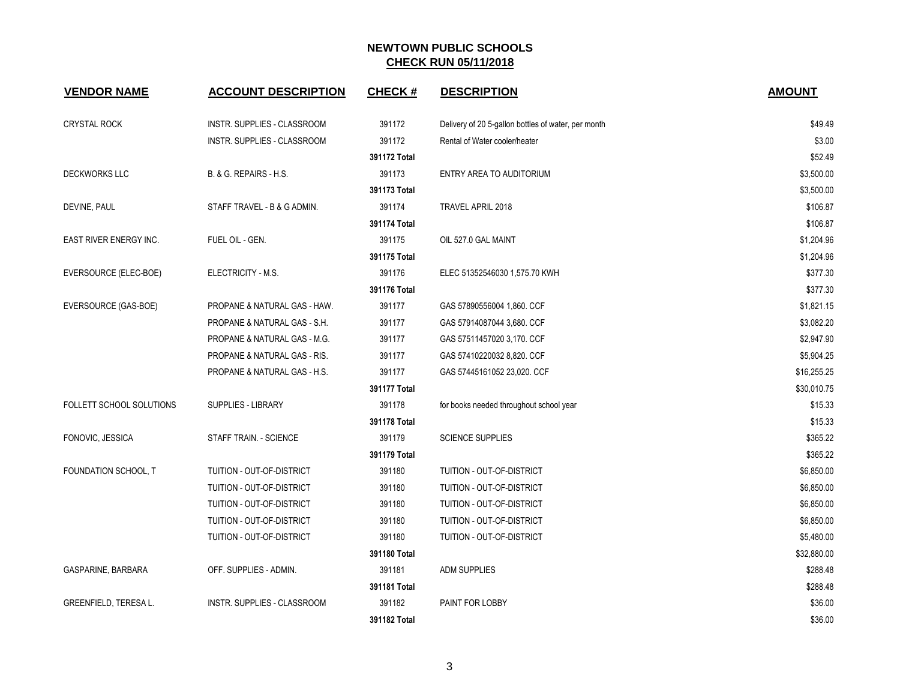| <b>VENDOR NAME</b>           | <b>ACCOUNT DESCRIPTION</b>   | <b>CHECK#</b> | <b>DESCRIPTION</b>                                  | <b>AMOUNT</b> |
|------------------------------|------------------------------|---------------|-----------------------------------------------------|---------------|
| <b>CRYSTAL ROCK</b>          | INSTR. SUPPLIES - CLASSROOM  | 391172        | Delivery of 20 5-gallon bottles of water, per month | \$49.49       |
|                              | INSTR. SUPPLIES - CLASSROOM  | 391172        | Rental of Water cooler/heater                       | \$3.00        |
|                              |                              | 391172 Total  |                                                     | \$52.49       |
| <b>DECKWORKS LLC</b>         | B. & G. REPAIRS - H.S.       | 391173        | ENTRY AREA TO AUDITORIUM                            | \$3,500.00    |
|                              |                              | 391173 Total  |                                                     | \$3,500.00    |
| DEVINE, PAUL                 | STAFF TRAVEL - B & G ADMIN.  | 391174        | TRAVEL APRIL 2018                                   | \$106.87      |
|                              |                              | 391174 Total  |                                                     | \$106.87      |
| EAST RIVER ENERGY INC.       | FUEL OIL - GEN.              | 391175        | OIL 527.0 GAL MAINT                                 | \$1,204.96    |
|                              |                              | 391175 Total  |                                                     | \$1,204.96    |
| EVERSOURCE (ELEC-BOE)        | ELECTRICITY - M.S.           | 391176        | ELEC 51352546030 1,575.70 KWH                       | \$377.30      |
|                              |                              | 391176 Total  |                                                     | \$377.30      |
| EVERSOURCE (GAS-BOE)         | PROPANE & NATURAL GAS - HAW. | 391177        | GAS 57890556004 1,860. CCF                          | \$1,821.15    |
|                              | PROPANE & NATURAL GAS - S.H. | 391177        | GAS 57914087044 3,680. CCF                          | \$3,082.20    |
|                              | PROPANE & NATURAL GAS - M.G. | 391177        | GAS 57511457020 3,170. CCF                          | \$2,947.90    |
|                              | PROPANE & NATURAL GAS - RIS. | 391177        | GAS 57410220032 8,820. CCF                          | \$5,904.25    |
|                              | PROPANE & NATURAL GAS - H.S. | 391177        | GAS 57445161052 23,020. CCF                         | \$16,255.25   |
|                              |                              | 391177 Total  |                                                     | \$30,010.75   |
| FOLLETT SCHOOL SOLUTIONS     | <b>SUPPLIES - LIBRARY</b>    | 391178        | for books needed throughout school year             | \$15.33       |
|                              |                              | 391178 Total  |                                                     | \$15.33       |
| FONOVIC, JESSICA             | STAFF TRAIN. - SCIENCE       | 391179        | <b>SCIENCE SUPPLIES</b>                             | \$365.22      |
|                              |                              | 391179 Total  |                                                     | \$365.22      |
| FOUNDATION SCHOOL, T         | TUITION - OUT-OF-DISTRICT    | 391180        | TUITION - OUT-OF-DISTRICT                           | \$6,850.00    |
|                              | TUITION - OUT-OF-DISTRICT    | 391180        | TUITION - OUT-OF-DISTRICT                           | \$6,850.00    |
|                              | TUITION - OUT-OF-DISTRICT    | 391180        | TUITION - OUT-OF-DISTRICT                           | \$6,850.00    |
|                              | TUITION - OUT-OF-DISTRICT    | 391180        | TUITION - OUT-OF-DISTRICT                           | \$6,850.00    |
|                              | TUITION - OUT-OF-DISTRICT    | 391180        | TUITION - OUT-OF-DISTRICT                           | \$5,480.00    |
|                              |                              | 391180 Total  |                                                     | \$32,880.00   |
| GASPARINE, BARBARA           | OFF. SUPPLIES - ADMIN.       | 391181        | <b>ADM SUPPLIES</b>                                 | \$288.48      |
|                              |                              | 391181 Total  |                                                     | \$288.48      |
| <b>GREENFIELD, TERESA L.</b> | INSTR. SUPPLIES - CLASSROOM  | 391182        | PAINT FOR LOBBY                                     | \$36.00       |
|                              |                              | 391182 Total  |                                                     | \$36.00       |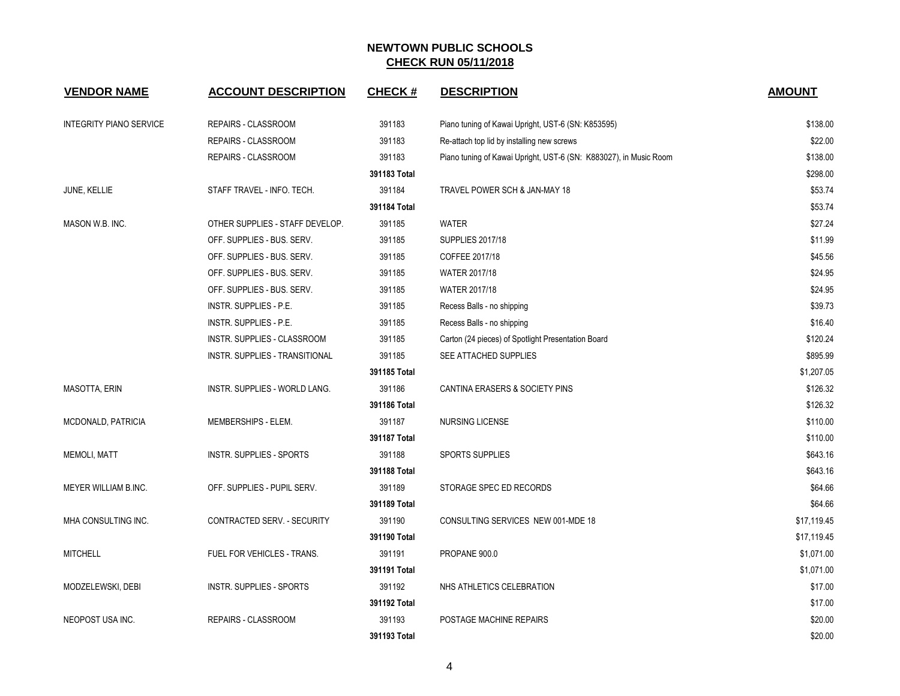| <b>VENDOR NAME</b>             | <b>ACCOUNT DESCRIPTION</b>      | <b>CHECK#</b> | <b>DESCRIPTION</b>                                                | <b>AMOUNT</b> |
|--------------------------------|---------------------------------|---------------|-------------------------------------------------------------------|---------------|
| <b>INTEGRITY PIANO SERVICE</b> | REPAIRS - CLASSROOM             | 391183        | Piano tuning of Kawai Upright, UST-6 (SN: K853595)                | \$138.00      |
|                                | REPAIRS - CLASSROOM             | 391183        | Re-attach top lid by installing new screws                        | \$22.00       |
|                                | REPAIRS - CLASSROOM             | 391183        | Piano tuning of Kawai Upright, UST-6 (SN: K883027), in Music Room | \$138.00      |
|                                |                                 | 391183 Total  |                                                                   | \$298.00      |
| JUNE, KELLIE                   | STAFF TRAVEL - INFO. TECH.      | 391184        | TRAVEL POWER SCH & JAN-MAY 18                                     | \$53.74       |
|                                |                                 | 391184 Total  |                                                                   | \$53.74       |
| MASON W.B. INC.                | OTHER SUPPLIES - STAFF DEVELOP. | 391185        | WATER                                                             | \$27.24       |
|                                | OFF. SUPPLIES - BUS. SERV.      | 391185        | <b>SUPPLIES 2017/18</b>                                           | \$11.99       |
|                                | OFF. SUPPLIES - BUS. SERV.      | 391185        | COFFEE 2017/18                                                    | \$45.56       |
|                                | OFF. SUPPLIES - BUS. SERV.      | 391185        | WATER 2017/18                                                     | \$24.95       |
|                                | OFF. SUPPLIES - BUS. SERV.      | 391185        | WATER 2017/18                                                     | \$24.95       |
|                                | INSTR. SUPPLIES - P.E.          | 391185        | Recess Balls - no shipping                                        | \$39.73       |
|                                | INSTR. SUPPLIES - P.E.          | 391185        | Recess Balls - no shipping                                        | \$16.40       |
|                                | INSTR. SUPPLIES - CLASSROOM     | 391185        | Carton (24 pieces) of Spotlight Presentation Board                | \$120.24      |
|                                | INSTR. SUPPLIES - TRANSITIONAL  | 391185        | SEE ATTACHED SUPPLIES                                             | \$895.99      |
|                                |                                 | 391185 Total  |                                                                   | \$1,207.05    |
| MASOTTA, ERIN                  | INSTR. SUPPLIES - WORLD LANG.   | 391186        | CANTINA ERASERS & SOCIETY PINS                                    | \$126.32      |
|                                |                                 | 391186 Total  |                                                                   | \$126.32      |
| MCDONALD, PATRICIA             | MEMBERSHIPS - ELEM.             | 391187        | NURSING LICENSE                                                   | \$110.00      |
|                                |                                 | 391187 Total  |                                                                   | \$110.00      |
| <b>MEMOLI, MATT</b>            | INSTR. SUPPLIES - SPORTS        | 391188        | <b>SPORTS SUPPLIES</b>                                            | \$643.16      |
|                                |                                 | 391188 Total  |                                                                   | \$643.16      |
| MEYER WILLIAM B.INC.           | OFF. SUPPLIES - PUPIL SERV.     | 391189        | STORAGE SPEC ED RECORDS                                           | \$64.66       |
|                                |                                 | 391189 Total  |                                                                   | \$64.66       |
| MHA CONSULTING INC.            | CONTRACTED SERV. - SECURITY     | 391190        | CONSULTING SERVICES NEW 001-MDE 18                                | \$17,119.45   |
|                                |                                 | 391190 Total  |                                                                   | \$17,119.45   |
| <b>MITCHELL</b>                | FUEL FOR VEHICLES - TRANS.      | 391191        | PROPANE 900.0                                                     | \$1,071.00    |
|                                |                                 | 391191 Total  |                                                                   | \$1,071.00    |
| MODZELEWSKI, DEBI              | <b>INSTR. SUPPLIES - SPORTS</b> | 391192        | NHS ATHLETICS CELEBRATION                                         | \$17.00       |
|                                |                                 | 391192 Total  |                                                                   | \$17.00       |
| NEOPOST USA INC.               | <b>REPAIRS - CLASSROOM</b>      | 391193        | POSTAGE MACHINE REPAIRS                                           | \$20.00       |
|                                |                                 | 391193 Total  |                                                                   | \$20.00       |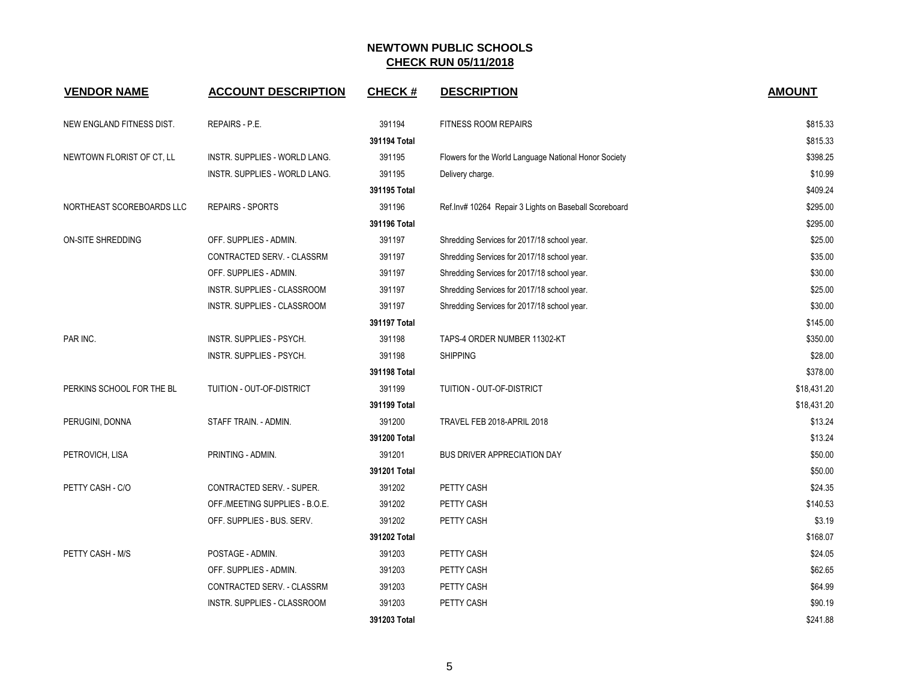| <b>VENDOR NAME</b>        | <b>ACCOUNT DESCRIPTION</b>      | <b>CHECK#</b> | <b>DESCRIPTION</b>                                     | <b>AMOUNT</b> |
|---------------------------|---------------------------------|---------------|--------------------------------------------------------|---------------|
| NEW ENGLAND FITNESS DIST. | REPAIRS - P.E.                  | 391194        | <b>FITNESS ROOM REPAIRS</b>                            | \$815.33      |
|                           |                                 | 391194 Total  |                                                        | \$815.33      |
| NEWTOWN FLORIST OF CT, LL | INSTR. SUPPLIES - WORLD LANG.   | 391195        | Flowers for the World Language National Honor Society  | \$398.25      |
|                           | INSTR. SUPPLIES - WORLD LANG.   | 391195        | Delivery charge.                                       | \$10.99       |
|                           |                                 | 391195 Total  |                                                        | \$409.24      |
| NORTHEAST SCOREBOARDS LLC | <b>REPAIRS - SPORTS</b>         | 391196        | Ref. Inv# 10264 Repair 3 Lights on Baseball Scoreboard | \$295.00      |
|                           |                                 | 391196 Total  |                                                        | \$295.00      |
| <b>ON-SITE SHREDDING</b>  | OFF. SUPPLIES - ADMIN.          | 391197        | Shredding Services for 2017/18 school year.            | \$25.00       |
|                           | CONTRACTED SERV. - CLASSRM      | 391197        | Shredding Services for 2017/18 school year.            | \$35.00       |
|                           | OFF. SUPPLIES - ADMIN.          | 391197        | Shredding Services for 2017/18 school year.            | \$30.00       |
|                           | INSTR. SUPPLIES - CLASSROOM     | 391197        | Shredding Services for 2017/18 school year.            | \$25.00       |
|                           | INSTR. SUPPLIES - CLASSROOM     | 391197        | Shredding Services for 2017/18 school year.            | \$30.00       |
|                           |                                 | 391197 Total  |                                                        | \$145.00      |
| PAR INC.                  | INSTR. SUPPLIES - PSYCH.        | 391198        | TAPS-4 ORDER NUMBER 11302-KT                           | \$350.00      |
|                           | <b>INSTR. SUPPLIES - PSYCH.</b> | 391198        | <b>SHIPPING</b>                                        | \$28.00       |
|                           |                                 | 391198 Total  |                                                        | \$378.00      |
| PERKINS SCHOOL FOR THE BL | TUITION - OUT-OF-DISTRICT       | 391199        | TUITION - OUT-OF-DISTRICT                              | \$18,431.20   |
|                           |                                 | 391199 Total  |                                                        | \$18,431.20   |
| PERUGINI, DONNA           | STAFF TRAIN. - ADMIN.           | 391200        | TRAVEL FEB 2018-APRIL 2018                             | \$13.24       |
|                           |                                 | 391200 Total  |                                                        | \$13.24       |
| PETROVICH, LISA           | PRINTING - ADMIN.               | 391201        | <b>BUS DRIVER APPRECIATION DAY</b>                     | \$50.00       |
|                           |                                 | 391201 Total  |                                                        | \$50.00       |
| PETTY CASH - C/O          | CONTRACTED SERV. - SUPER.       | 391202        | PETTY CASH                                             | \$24.35       |
|                           | OFF./MEETING SUPPLIES - B.O.E.  | 391202        | PETTY CASH                                             | \$140.53      |
|                           | OFF. SUPPLIES - BUS. SERV.      | 391202        | PETTY CASH                                             | \$3.19        |
|                           |                                 | 391202 Total  |                                                        | \$168.07      |
| PETTY CASH - M/S          | POSTAGE - ADMIN.                | 391203        | PETTY CASH                                             | \$24.05       |
|                           | OFF. SUPPLIES - ADMIN.          | 391203        | PETTY CASH                                             | \$62.65       |
|                           | CONTRACTED SERV. - CLASSRM      | 391203        | PETTY CASH                                             | \$64.99       |
|                           | INSTR. SUPPLIES - CLASSROOM     | 391203        | PETTY CASH                                             | \$90.19       |
|                           |                                 | 391203 Total  |                                                        | \$241.88      |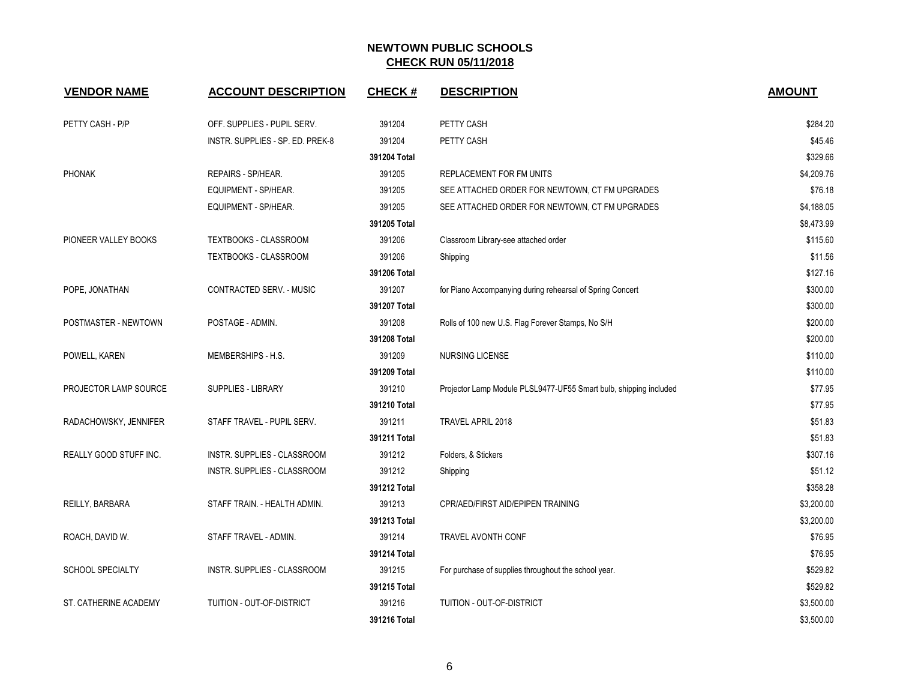| <b>VENDOR NAME</b>      | <b>ACCOUNT DESCRIPTION</b>       | <b>CHECK#</b> | <b>DESCRIPTION</b>                                                | <b>AMOUNT</b> |
|-------------------------|----------------------------------|---------------|-------------------------------------------------------------------|---------------|
| PETTY CASH - P/P        | OFF. SUPPLIES - PUPIL SERV.      | 391204        | PETTY CASH                                                        | \$284.20      |
|                         | INSTR. SUPPLIES - SP. ED. PREK-8 | 391204        | PETTY CASH                                                        | \$45.46       |
|                         |                                  | 391204 Total  |                                                                   | \$329.66      |
| <b>PHONAK</b>           | REPAIRS - SP/HEAR.               | 391205        | REPLACEMENT FOR FM UNITS                                          | \$4,209.76    |
|                         | EQUIPMENT - SP/HEAR.             | 391205        | SEE ATTACHED ORDER FOR NEWTOWN, CT FM UPGRADES                    | \$76.18       |
|                         | EQUIPMENT - SP/HEAR.             | 391205        | SEE ATTACHED ORDER FOR NEWTOWN, CT FM UPGRADES                    | \$4,188.05    |
|                         |                                  | 391205 Total  |                                                                   | \$8,473.99    |
| PIONEER VALLEY BOOKS    | TEXTBOOKS - CLASSROOM            | 391206        | Classroom Library-see attached order                              | \$115.60      |
|                         | TEXTBOOKS - CLASSROOM            | 391206        | Shipping                                                          | \$11.56       |
|                         |                                  | 391206 Total  |                                                                   | \$127.16      |
| POPE, JONATHAN          | CONTRACTED SERV. - MUSIC         | 391207        | for Piano Accompanying during rehearsal of Spring Concert         | \$300.00      |
|                         |                                  | 391207 Total  |                                                                   | \$300.00      |
| POSTMASTER - NEWTOWN    | POSTAGE - ADMIN.                 | 391208        | Rolls of 100 new U.S. Flag Forever Stamps, No S/H                 | \$200.00      |
|                         |                                  | 391208 Total  |                                                                   | \$200.00      |
| POWELL, KAREN           | MEMBERSHIPS - H.S.               | 391209        | <b>NURSING LICENSE</b>                                            | \$110.00      |
|                         |                                  | 391209 Total  |                                                                   | \$110.00      |
| PROJECTOR LAMP SOURCE   | SUPPLIES - LIBRARY               | 391210        | Projector Lamp Module PLSL9477-UF55 Smart bulb, shipping included | \$77.95       |
|                         |                                  | 391210 Total  |                                                                   | \$77.95       |
| RADACHOWSKY, JENNIFER   | STAFF TRAVEL - PUPIL SERV.       | 391211        | TRAVEL APRIL 2018                                                 | \$51.83       |
|                         |                                  | 391211 Total  |                                                                   | \$51.83       |
| REALLY GOOD STUFF INC.  | INSTR. SUPPLIES - CLASSROOM      | 391212        | Folders, & Stickers                                               | \$307.16      |
|                         | INSTR. SUPPLIES - CLASSROOM      | 391212        | Shipping                                                          | \$51.12       |
|                         |                                  | 391212 Total  |                                                                   | \$358.28      |
| REILLY, BARBARA         | STAFF TRAIN. - HEALTH ADMIN.     | 391213        | CPR/AED/FIRST AID/EPIPEN TRAINING                                 | \$3,200.00    |
|                         |                                  | 391213 Total  |                                                                   | \$3,200.00    |
| ROACH, DAVID W.         | STAFF TRAVEL - ADMIN.            | 391214        | TRAVEL AVONTH CONF                                                | \$76.95       |
|                         |                                  | 391214 Total  |                                                                   | \$76.95       |
| <b>SCHOOL SPECIALTY</b> | INSTR. SUPPLIES - CLASSROOM      | 391215        | For purchase of supplies throughout the school year.              | \$529.82      |
|                         |                                  | 391215 Total  |                                                                   | \$529.82      |
| ST. CATHERINE ACADEMY   | TUITION - OUT-OF-DISTRICT        | 391216        | <b>TUITION - OUT-OF-DISTRICT</b>                                  | \$3,500.00    |
|                         |                                  | 391216 Total  |                                                                   | \$3,500.00    |